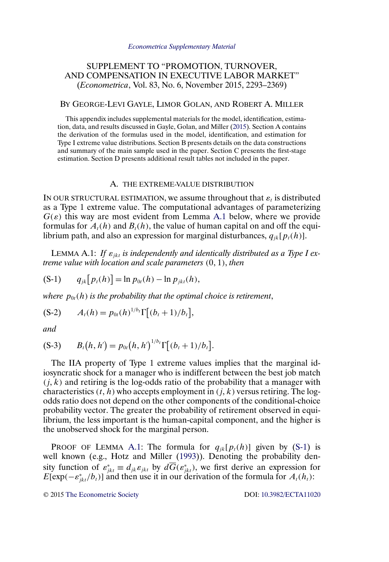# <span id="page-0-0"></span>SUPPLEMENT TO "PROMOTION, TURNOVER, AND COMPENSATION IN EXECUTIVE LABOR MARKET" (*Econometrica*, Vol. 83, No. 6, November 2015, 2293–2369)

# BY GEORGE-LEVI GAYLE, LIMOR GOLAN, AND ROBERT A. MILLER

This appendix includes supplemental materials for the model, identification, estimation, data, and results discussed in Gayle, Golan, and Miller [\(2015\)](#page-24-0). Section A contains the derivation of the formulas used in the model, identification, and estimation for Type I extreme value distributions. Section B presents details on the data constructions and summary of the main sample used in the paper. Section C presents the first-stage estimation. Section D presents additional result tables not included in the paper.

# A. THE EXTREME-VALUE DISTRIBUTION

IN OUR STRUCTURAL ESTIMATION, we assume throughout that  $\varepsilon_t$  is distributed as a Type 1 extreme value. The computational advantages of parameterizing  $G(\varepsilon)$  this way are most evident from Lemma A.1 below, where we provide formulas for  $A_t(h)$  and  $B_t(h)$ , the value of human capital on and off the equilibrium path, and also an expression for marginal disturbances,  $q_{jk}[p_t(h)]$ .

LEMMA A.1: If  $\varepsilon_{ikt}$  is independently and identically distributed as a Type I ex*treme value with location and scale parameters*  $(0, 1)$ *, then* 

$$
(S-1) \tq_{jk}[p_t(h)] = \ln p_{0t}(h) - \ln p_{jkt}(h),
$$

*where*  $p_{0t}(h)$  *is the probability that the optimal choice is retirement,* 

$$
(S-2) \t At(h) = p0t(h)1/bt \Gamma[(bt + 1)/bt],
$$

*and*

$$
(S-3) \t Bt(h, h') = p0t(h, h')1/bt \Gamma[(bt + 1)/bt].
$$

The IIA property of Type 1 extreme values implies that the marginal idiosyncratic shock for a manager who is indifferent between the best job match  $(j, k)$  and retiring is the log-odds ratio of the probability that a manager with characteristics  $(t, h)$  who accepts employment in  $(j, k)$  versus retiring. The logodds ratio does not depend on the other components of the conditional-choice probability vector. The greater the probability of retirement observed in equilibrium, the less important is the human-capital component, and the higher is the unobserved shock for the marginal person.

PROOF OF LEMMA A.1: The formula for  $q_{ik}[p_t(h)]$  given by (S-1) is well known (e.g., Hotz and Miller [\(1993\)](#page-24-0)). Denoting the probability density function of  $\varepsilon_{jkt}^* \equiv d_{jk}\varepsilon_{jkt}$  by  $d\overline{G}(\varepsilon_{jkt}^*)$ , we first derive an expression for  $E[\exp(-\varepsilon_{jkt}^*/b_t)]$  and then use it in our derivation of the formula for  $A_t(h_t)$ :

© 2015 [The Econometric Society](http://www.econometricsociety.org/) DOI: [10.3982/ECTA11020](http://dx.doi.org/10.3982/ECTA11020)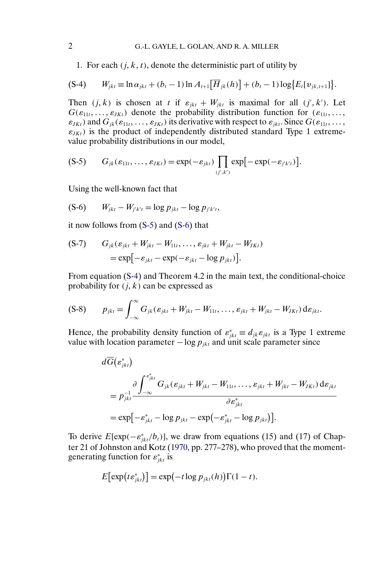1. For each  $(j, k, t)$ , denote the deterministic part of utility by

$$
(S-4) \qquad W_{jkt} \equiv \ln \alpha_{jkt} + (b_t - 1) \ln A_{t+1} [\overline{H}_{jk}(h)] + (b_t - 1) \log \{E_t[v_{jk,t+1}]\}.
$$

Then  $(j, k)$  is chosen at t if  $\varepsilon_{jkt} + W_{jkt}$  is maximal for all  $(j', k')$ . Let  $G(\varepsilon_{11t},\ldots,\varepsilon_{JKt})$  denote the probability distribution function for  $(\varepsilon_{11t},\ldots,\varepsilon_{JKt})$  $\varepsilon_{JKt}$ ) and  $G_{jk}(\varepsilon_{11t},\ldots,\varepsilon_{JKt})$  its derivative with respect to  $\varepsilon_{jkt}$ . Since  $G(\varepsilon_{11t},\ldots,\varepsilon_{JKt})$  $\varepsilon_{JKt}$ ) is the product of independently distributed standard Type 1 extremevalue probability distributions in our model,

$$
(S-5) \tG_{jk}(\varepsilon_{11t},\ldots,\varepsilon_{JKt})=\exp(-\varepsilon_{jkt})\prod_{(j',k')} \exp[-\exp(-\varepsilon_{j'k't})].
$$

Using the well-known fact that

$$
(S-6) \t W_{jkt} - W_{j'k't} = \log p_{jkt} - \log p_{j'k't},
$$

it now follows from (S-5) and (S-6) that

$$
\begin{aligned} \text{(S-7)} \qquad G_{jk}(\varepsilon_{jkt} + W_{jkt} - W_{11t}, \dots, \varepsilon_{jkt} + W_{jkt} - W_{JKt}) \\ &= \exp\bigl[-\varepsilon_{jkt} - \exp(-\varepsilon_{jkt} - \log p_{jkt})\bigr]. \end{aligned}
$$

From equation (S-4) and Theorem 4.2 in the main text, the conditional-choice probability for  $(j, k)$  can be expressed as

$$
(S-8) \t p_{jkt} = \int_{-\infty}^{\infty} G_{jk} (\varepsilon_{jkt} + W_{jkt} - W_{11t}, \ldots, \varepsilon_{jkt} + W_{jkt} - W_{JKt}) d\varepsilon_{jkt}.
$$

Hence, the probability density function of  $\varepsilon_{jk}^* \equiv d_{jk} \varepsilon_{jk}$  is a Type 1 extreme value with location parameter  $-\log p_{ikt}$  and unit scale parameter since

$$
d\overline{G}\left(\varepsilon_{jkt}^{*}\right)
$$
\n
$$
= p_{jkt}^{-1} \frac{\partial \int_{-\infty}^{\varepsilon_{jkt}^{*}} G_{jk}(\varepsilon_{jkt} + W_{jkt} - W_{11t}, \dots, \varepsilon_{jkt} + W_{jkt} - W_{JKt}) d\varepsilon_{jkt}}{\partial \varepsilon_{jkt}^{*}}
$$
\n
$$
= \exp\left[-\varepsilon_{jkt}^{*} - \log p_{jkt} - \exp\left(-\varepsilon_{jkt}^{*} - \log p_{jkt}\right)\right].
$$

To derive  $E[\exp(-\varepsilon_{jkt}^*/b_t)]$ , we draw from equations (15) and (17) of Chapter 21 of Johnston and Kotz [\(1970,](#page-24-0) pp. 277–278), who proved that the momentgenerating function for  $\varepsilon_{jkt}^*$  is

$$
E[\exp(te_{jkt}^*)] = \exp(-t \log p_{jkt}(h))\Gamma(1-t).
$$

<span id="page-1-0"></span>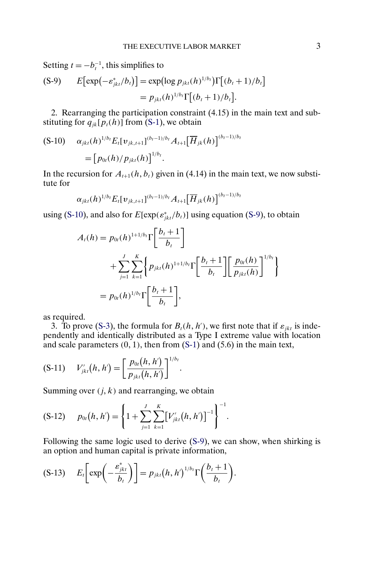<span id="page-2-0"></span>Setting  $t = -b_t^{-1}$ , this simplifies to

$$
\begin{aligned} \text{(S-9)} \qquad E\big[\exp\big(-\varepsilon_{jkt}^*/b_t\big)\big] &= \exp\big(\log p_{jkt}(h)^{1/b_t}\big)\Gamma\big[(b_t+1)/b_t\big] \\ &= p_{jkt}(h)^{1/b_t}\Gamma\big[(b_t+1)/b_t\big]. \end{aligned}
$$

2. Rearranging the participation constraint (4.15) in the main text and substituting for  $q_{ik}[\bar{p}_{t}(h)]$  from [\(S-1\)](#page-0-0), we obtain

$$
\begin{aligned} \text{(S-10)} \quad & \alpha_{jkt}(h)^{1/b} E_t[\mathbf{v}_{jk,t+1}]^{(b_t-1)/b_t} A_{t+1} \big[ \overline{H}_{jk}(h) \big]^{(b_t-1)/b_t} \\ &= \big[ p_{0t}(h) / p_{jkt}(h) \big]^{1/b_t} . \end{aligned}
$$

In the recursion for  $A_{t+1}(h, b_t)$  given in (4.14) in the main text, we now substitute for

$$
\alpha_{jkt}(h)^{1/b_t} E_t[v_{jk,t+1}]^{(b_t-1)/b_t} A_{t+1} [\overline{H}_{jk}(h)]^{(b_t-1)/b_t}
$$

using (S-10), and also for  $E[\exp(\epsilon_{jkt}^*/b_t)]$  using equation (S-9), to obtain

$$
A_t(h) = p_{0t}(h)^{1+1/b_t} \Gamma\left[\frac{b_t+1}{b_t}\right] + \sum_{j=1}^J \sum_{k=1}^K \left\{ p_{jkt}(h)^{1+1/b_t} \Gamma\left[\frac{b_t+1}{b_t}\right] \left[\frac{p_{0t}(h)}{p_{jkt}(h)}\right]^{1/b_t} \right\} = p_{0t}(h)^{1/b_t} \Gamma\left[\frac{b_t+1}{b_t}\right],
$$

as required.

3. To prove [\(S-3\)](#page-0-0), the formula for  $B_t(h, h')$ , we first note that if  $\varepsilon_{jkt}$  is independently and identically distributed as a Type I extreme value with location and scale parameters  $(0, 1)$ , then from  $(S-1)$  and  $(5.6)$  in the main text,

$$
(S-11) \tV'_{jkt}(h,h') = \left[\frac{p_{0t}(h,h')}{p_{jkt}(h,h')}\right]^{1/b_t}.
$$

Summing over  $(j, k)$  and rearranging, we obtain

$$
(S-12) \t p0t(h, h') = \left\{1 + \sum_{j=1}^{J} \sum_{k=1}^{K} [V'_{jkt}(h, h')]^{-1}\right\}^{-1}.
$$

Following the same logic used to derive (S-9), we can show, when shirking is an option and human capital is private information,

$$
(S-13) \t E_t\bigg[\exp\bigg(-\frac{\varepsilon^*_{jkt}}{b_t}\bigg)\bigg] = p_{jkt}(h,h')^{1/b} \Gamma\bigg(\frac{b_t+1}{b_t}\bigg).
$$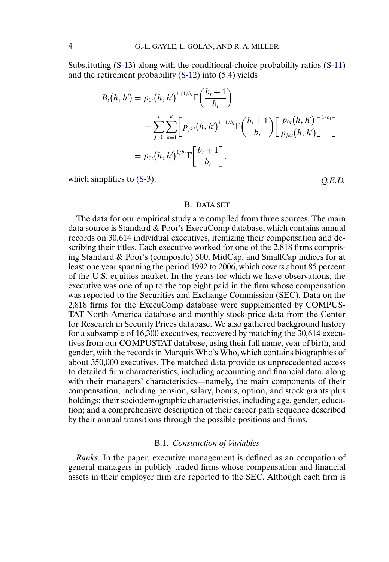Substituting [\(S-13\)](#page-2-0) along with the conditional-choice probability ratios [\(S-11\)](#page-2-0) and the retirement probability [\(S-12\)](#page-2-0) into (5.4) yields

$$
B_{t}(h, h') = p_{0t}(h, h')^{1+1/b_{t}} \Gamma\left(\frac{b_{t}+1}{b_{t}}\right)
$$
  
+ 
$$
\sum_{j=1}^{J} \sum_{k=1}^{K} \left[ p_{jkt}(h, h')^{1+1/b_{t}} \Gamma\left(\frac{b_{t}+1}{b_{t}}\right) \left[ \frac{p_{0t}(h, h')}{p_{jkt}(h, h')} \right]^{1/b_{t}} \right]
$$
  
= 
$$
p_{0t}(h, h')^{1/b_{t}} \Gamma\left[\frac{b_{t}+1}{b_{t}}\right],
$$

which simplifies to [\(S-3\)](#page-0-0).  $Q.E.D.$ 

# B. DATA SET

The data for our empirical study are compiled from three sources. The main data source is Standard & Poor's ExecuComp database, which contains annual records on 30,614 individual executives, itemizing their compensation and describing their titles. Each executive worked for one of the 2,818 firms comprising Standard & Poor's (composite) 500, MidCap, and SmallCap indices for at least one year spanning the period 1992 to 2006, which covers about 85 percent of the U.S. equities market. In the years for which we have observations, the executive was one of up to the top eight paid in the firm whose compensation was reported to the Securities and Exchange Commission (SEC). Data on the 2,818 firms for the ExecuComp database were supplemented by COMPUS-TAT North America database and monthly stock-price data from the Center for Research in Security Prices database. We also gathered background history for a subsample of 16,300 executives, recovered by matching the 30,614 executives from our COMPUSTAT database, using their full name, year of birth, and gender, with the records in Marquis Who's Who, which contains biographies of about 350,000 executives. The matched data provide us unprecedented access to detailed firm characteristics, including accounting and financial data, along with their managers' characteristics—namely, the main components of their compensation, including pension, salary, bonus, option, and stock grants plus holdings; their sociodemographic characteristics, including age, gender, education; and a comprehensive description of their career path sequence described by their annual transitions through the possible positions and firms.

## B.1. *Construction of Variables*

*Ranks*. In the paper, executive management is defined as an occupation of general managers in publicly traded firms whose compensation and financial assets in their employer firm are reported to the SEC. Although each firm is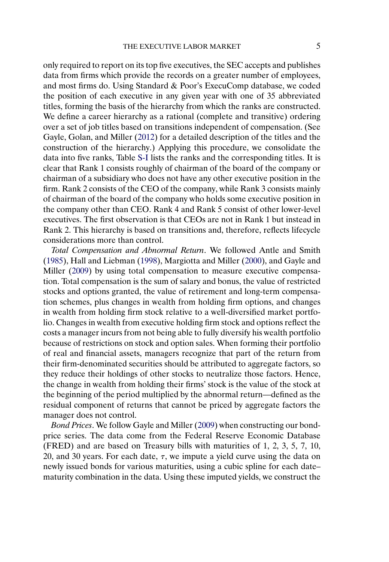<span id="page-4-0"></span>only required to report on its top five executives, the SEC accepts and publishes data from firms which provide the records on a greater number of employees, and most firms do. Using Standard & Poor's ExecuComp database, we coded the position of each executive in any given year with one of 35 abbreviated titles, forming the basis of the hierarchy from which the ranks are constructed. We define a career hierarchy as a rational (complete and transitive) ordering over a set of job titles based on transitions independent of compensation. (See Gayle, Golan, and Miller [\(2012\)](#page-24-0) for a detailed description of the titles and the construction of the hierarchy.) Applying this procedure, we consolidate the data into five ranks, Table [S-I](#page-5-0) lists the ranks and the corresponding titles. It is clear that Rank 1 consists roughly of chairman of the board of the company or chairman of a subsidiary who does not have any other executive position in the firm. Rank 2 consists of the CEO of the company, while Rank 3 consists mainly of chairman of the board of the company who holds some executive position in the company other than CEO. Rank 4 and Rank 5 consist of other lower-level executives. The first observation is that CEOs are not in Rank 1 but instead in Rank 2. This hierarchy is based on transitions and, therefore, reflects lifecycle considerations more than control.

*Total Compensation and Abnormal Return*. We followed Antle and Smith [\(1985\)](#page-24-0), Hall and Liebman [\(1998\)](#page-24-0), Margiotta and Miller [\(2000\)](#page-24-0), and Gayle and Miller [\(2009\)](#page-24-0) by using total compensation to measure executive compensation. Total compensation is the sum of salary and bonus, the value of restricted stocks and options granted, the value of retirement and long-term compensation schemes, plus changes in wealth from holding firm options, and changes in wealth from holding firm stock relative to a well-diversified market portfolio. Changes in wealth from executive holding firm stock and options reflect the costs a manager incurs from not being able to fully diversify his wealth portfolio because of restrictions on stock and option sales. When forming their portfolio of real and financial assets, managers recognize that part of the return from their firm-denominated securities should be attributed to aggregate factors, so they reduce their holdings of other stocks to neutralize those factors. Hence, the change in wealth from holding their firms' stock is the value of the stock at the beginning of the period multiplied by the abnormal return—defined as the residual component of returns that cannot be priced by aggregate factors the manager does not control.

*Bond Prices*. We follow Gayle and Miller [\(2009\)](#page-24-0) when constructing our bondprice series. The data come from the Federal Reserve Economic Database (FRED) and are based on Treasury bills with maturities of 1, 2, 3, 5, 7, 10, 20, and 30 years. For each date,  $\tau$ , we impute a yield curve using the data on newly issued bonds for various maturities, using a cubic spline for each date– maturity combination in the data. Using these imputed yields, we construct the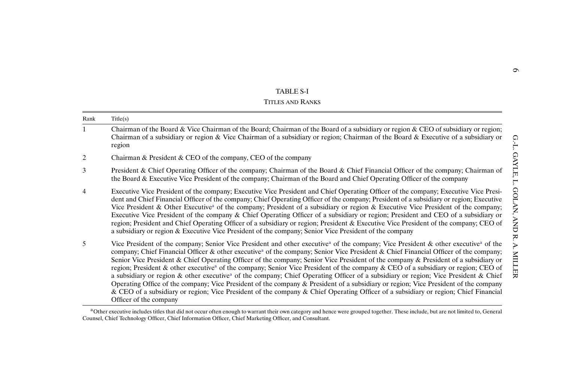<span id="page-5-0"></span>

|      | <b>TABLE S-I</b>                                                                                                                                                                                                                                                                                                                                                                                                                                                                                                                                                                                                                                                                                                                                                                                                                                                                                                                                                                                                                                                 |                     |
|------|------------------------------------------------------------------------------------------------------------------------------------------------------------------------------------------------------------------------------------------------------------------------------------------------------------------------------------------------------------------------------------------------------------------------------------------------------------------------------------------------------------------------------------------------------------------------------------------------------------------------------------------------------------------------------------------------------------------------------------------------------------------------------------------------------------------------------------------------------------------------------------------------------------------------------------------------------------------------------------------------------------------------------------------------------------------|---------------------|
|      | <b>TITLES AND RANKS</b>                                                                                                                                                                                                                                                                                                                                                                                                                                                                                                                                                                                                                                                                                                                                                                                                                                                                                                                                                                                                                                          |                     |
| Rank | Title(s)                                                                                                                                                                                                                                                                                                                                                                                                                                                                                                                                                                                                                                                                                                                                                                                                                                                                                                                                                                                                                                                         |                     |
| 1    | Chairman of the Board & Vice Chairman of the Board; Chairman of the Board of a subsidiary or region & CEO of subsidiary or region;<br>Chairman of a subsidiary or region & Vice Chairman of a subsidiary or region; Chairman of the Board & Executive of a subsidiary or<br>region                                                                                                                                                                                                                                                                                                                                                                                                                                                                                                                                                                                                                                                                                                                                                                               |                     |
| 2    | Chairman & President & CEO of the company, CEO of the company                                                                                                                                                                                                                                                                                                                                                                                                                                                                                                                                                                                                                                                                                                                                                                                                                                                                                                                                                                                                    |                     |
| 3    | President & Chief Operating Officer of the company; Chairman of the Board & Chief Financial Officer of the company; Chairman of<br>the Board & Executive Vice President of the company; Chairman of the Board and Chief Operating Officer of the company                                                                                                                                                                                                                                                                                                                                                                                                                                                                                                                                                                                                                                                                                                                                                                                                         | Ţ                   |
| 4    | Executive Vice President of the company; Executive Vice President and Chief Operating Officer of the company; Executive Vice Presi-<br>dent and Chief Financial Officer of the company; Chief Operating Officer of the company; President of a subsidiary or region; Executive<br>Vice President & Other Executive <sup>a</sup> of the company; President of a subsidiary or region & Executive Vice President of the company;<br>Executive Vice President of the company & Chief Operating Officer of a subsidiary or region; President and CEO of a subsidiary or<br>region; President and Chief Operating Officer of a subsidiary or region; President & Executive Vice President of the company; CEO of<br>a subsidiary or region & Executive Vice President of the company; Senior Vice President of the company                                                                                                                                                                                                                                            | OLAN,<br><b>CNN</b> |
| 5    | Vice President of the company; Senior Vice President and other executive <sup>a</sup> of the company; Vice President & other executive <sup>a</sup> of the<br>company; Chief Financial Officer & other executive <sup>a</sup> of the company; Senior Vice President & Chief Financial Officer of the company;<br>Senior Vice President & Chief Operating Officer of the company; Senior Vice President of the company & President of a subsidiary or<br>region; President & other executive <sup>a</sup> of the company; Senior Vice President of the company & CEO of a subsidiary or region; CEO of<br>a subsidiary or region & other executive <sup>a</sup> of the company; Chief Operating Officer of a subsidiary or region; Vice President & Chief<br>Operating Office of the company; Vice President of the company & President of a subsidiary or region; Vice President of the company<br>& CEO of a subsidiary or region; Vice President of the company & Chief Operating Officer of a subsidiary or region; Chief Financial<br>Officer of the company | ĸ.<br>TIM<br>识      |

 $\rm{^aO}$ ther executive includes titles that did not occur often enough to warrant their own category and hence were grouped together. These include, but are not limited to, General Counsel, Chief Technology Officer, Chief Information Officer, Chief Marketing Officer, and Consultant.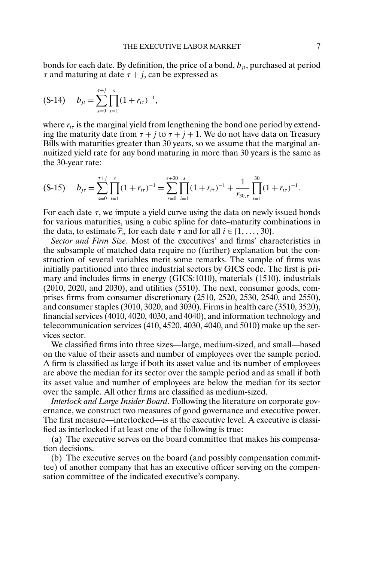bonds for each date. By definition, the price of a bond,  $b_{it}$ , purchased at period  $\tau$  and maturing at date  $\tau + j$ , can be expressed as

$$
(S-14) \t b_{jt} = \sum_{s=0}^{\tau+j} \prod_{i=1}^{s} (1 + r_{i\tau})^{-1},
$$

where  $r_{i\tau}$  is the marginal yield from lengthening the bond one period by extending the maturity date from  $\tau + j$  to  $\tau + j + 1$ . We do not have data on Treasury Bills with maturities greater than 30 years, so we assume that the marginal annuitized yield rate for any bond maturing in more than 30 years is the same as the 30-year rate:

$$
(S-15) \t b_{j\tau} = \sum_{s=0}^{\tau+j} \prod_{i=1}^{s} (1+r_{i\tau})^{-1} = \sum_{s=0}^{\tau+30} \prod_{i=1}^{s} (1+r_{i\tau})^{-1} + \frac{1}{r_{30,\tau}} \prod_{i=1}^{30} (1+r_{i\tau})^{-1}.
$$

For each date  $\tau$ , we impute a yield curve using the data on newly issued bonds for various maturities, using a cubic spline for date–maturity combinations in the data, to estimate  $\hat{r}_{i\tau}$  for each date  $\tau$  and for all  $i \in \{1, \ldots, 30\}$ .

*Sector and Firm Size*. Most of the executives' and firms' characteristics in the subsample of matched data require no (further) explanation but the construction of several variables merit some remarks. The sample of firms was initially partitioned into three industrial sectors by GICS code. The first is primary and includes firms in energy (GICS:1010), materials (1510), industrials  $(2010, 2020, \text{ and } 2030)$ , and utilities  $(5510)$ . The next, consumer goods, comprises firms from consumer discretionary (2510, 2520, 2530, 2540, and 2550), and consumer staples (3010, 3020, and 3030). Firms in health care (3510, 3520), financial services (4010, 4020, 4030, and 4040), and information technology and telecommunication services (410, 4520, 4030, 4040, and 5010) make up the services sector.

We classified firms into three sizes—large, medium-sized, and small—based on the value of their assets and number of employees over the sample period. A firm is classified as large if both its asset value and its number of employees are above the median for its sector over the sample period and as small if both its asset value and number of employees are below the median for its sector over the sample. All other firms are classified as medium-sized.

*Interlock and Large Insider Board*. Following the literature on corporate governance, we construct two measures of good governance and executive power. The first measure—interlocked—is at the executive level. A executive is classified as interlocked if at least one of the following is true:

(a) The executive serves on the board committee that makes his compensation decisions.

(b) The executive serves on the board (and possibly compensation committee) of another company that has an executive officer serving on the compensation committee of the indicated executive's company.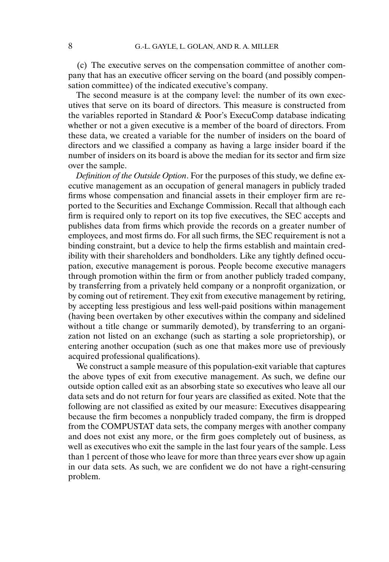(c) The executive serves on the compensation committee of another company that has an executive officer serving on the board (and possibly compensation committee) of the indicated executive's company.

The second measure is at the company level: the number of its own executives that serve on its board of directors. This measure is constructed from the variables reported in Standard & Poor's ExecuComp database indicating whether or not a given executive is a member of the board of directors. From these data, we created a variable for the number of insiders on the board of directors and we classified a company as having a large insider board if the number of insiders on its board is above the median for its sector and firm size over the sample.

*Definition of the Outside Option*. For the purposes of this study, we define executive management as an occupation of general managers in publicly traded firms whose compensation and financial assets in their employer firm are reported to the Securities and Exchange Commission. Recall that although each firm is required only to report on its top five executives, the SEC accepts and publishes data from firms which provide the records on a greater number of employees, and most firms do. For all such firms, the SEC requirement is not a binding constraint, but a device to help the firms establish and maintain credibility with their shareholders and bondholders. Like any tightly defined occupation, executive management is porous. People become executive managers through promotion within the firm or from another publicly traded company, by transferring from a privately held company or a nonprofit organization, or by coming out of retirement. They exit from executive management by retiring, by accepting less prestigious and less well-paid positions within management (having been overtaken by other executives within the company and sidelined without a title change or summarily demoted), by transferring to an organization not listed on an exchange (such as starting a sole proprietorship), or entering another occupation (such as one that makes more use of previously acquired professional qualifications).

We construct a sample measure of this population-exit variable that captures the above types of exit from executive management. As such, we define our outside option called exit as an absorbing state so executives who leave all our data sets and do not return for four years are classified as exited. Note that the following are not classified as exited by our measure: Executives disappearing because the firm becomes a nonpublicly traded company, the firm is dropped from the COMPUSTAT data sets, the company merges with another company and does not exist any more, or the firm goes completely out of business, as well as executives who exit the sample in the last four years of the sample. Less than 1 percent of those who leave for more than three years ever show up again in our data sets. As such, we are confident we do not have a right-censuring problem.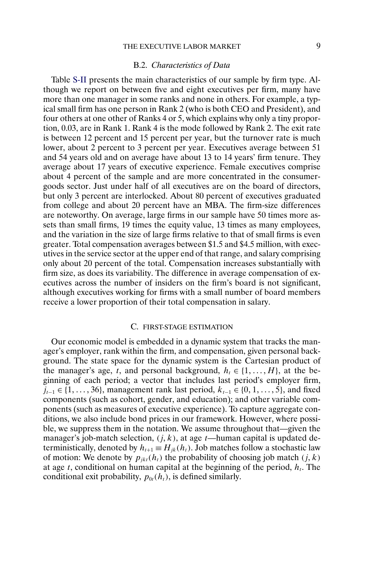# THE EXECUTIVE LABOR MARKET 9

# B.2. *Characteristics of Data*

Table [S-II](#page-9-0) presents the main characteristics of our sample by firm type. Although we report on between five and eight executives per firm, many have more than one manager in some ranks and none in others. For example, a typical small firm has one person in Rank 2 (who is both CEO and President), and four others at one other of Ranks 4 or 5, which explains why only a tiny proportion, 0.03, are in Rank 1. Rank 4 is the mode followed by Rank 2. The exit rate is between 12 percent and 15 percent per year, but the turnover rate is much lower, about 2 percent to 3 percent per year. Executives average between 51 and 54 years old and on average have about 13 to 14 years' firm tenure. They average about 17 years of executive experience. Female executives comprise about 4 percent of the sample and are more concentrated in the consumergoods sector. Just under half of all executives are on the board of directors, but only 3 percent are interlocked. About 80 percent of executives graduated from college and about 20 percent have an MBA. The firm-size differences are noteworthy. On average, large firms in our sample have 50 times more assets than small firms, 19 times the equity value, 13 times as many employees, and the variation in the size of large firms relative to that of small firms is even greater. Total compensation averages between \$1.5 and \$4.5 million, with executives in the service sector at the upper end of that range, and salary comprising only about 20 percent of the total. Compensation increases substantially with firm size, as does its variability. The difference in average compensation of executives across the number of insiders on the firm's board is not significant, although executives working for firms with a small number of board members receive a lower proportion of their total compensation in salary.

# C. FIRST-STAGE ESTIMATION

Our economic model is embedded in a dynamic system that tracks the manager's employer, rank within the firm, and compensation, given personal background. The state space for the dynamic system is the Cartesian product of the manager's age, t, and personal background,  $h_t \in \{1, ..., H\}$ , at the beginning of each period; a vector that includes last period's employer firm,  $j_{t-1}$  ∈ {1, ..., 36}, management rank last period,  $k_{t-1}$  ∈ {0, 1, ..., 5}, and fixed components (such as cohort, gender, and education); and other variable components (such as measures of executive experience). To capture aggregate conditions, we also include bond prices in our framework. However, where possible, we suppress them in the notation. We assume throughout that—given the manager's job-match selection,  $(j, k)$ , at age t—human capital is updated deterministically, denoted by  $h_{t+1} \equiv H_{ik}(h_t)$ . Job matches follow a stochastic law of motion: We denote by  $p_{jkt}(h_t)$  the probability of choosing job match  $(j, k)$ at age  $t$ , conditional on human capital at the beginning of the period,  $h_t$ . The conditional exit probability,  $p_{0t}(h_t)$ , is defined similarly.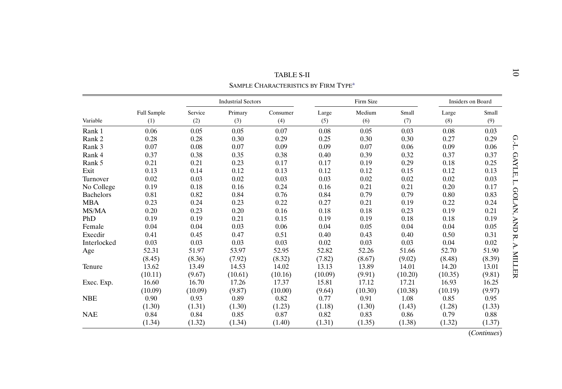<span id="page-9-0"></span>

|                  |                    |         |                           | TABLE S-II<br>SAMPLE CHARACTERISTICS BY FIRM TYPE <sup>a</sup> |         |           |         |                   |        |
|------------------|--------------------|---------|---------------------------|----------------------------------------------------------------|---------|-----------|---------|-------------------|--------|
|                  |                    |         | <b>Industrial Sectors</b> |                                                                |         | Firm Size |         | Insiders on Board |        |
|                  | <b>Full Sample</b> | Service | Primary                   | Consumer                                                       | Large   | Medium    | Small   | Large             | Small  |
| Variable         | (1)                | (2)     | (3)                       | (4)                                                            | (5)     | (6)       | (7)     | (8)               | (9)    |
| Rank 1           | 0.06               | 0.05    | 0.05                      | 0.07                                                           | 0.08    | 0.05      | 0.03    | 0.08              | 0.03   |
| Rank 2           | 0.28               | 0.28    | 0.30                      | 0.29                                                           | 0.25    | 0.30      | 0.30    | 0.27              | 0.29   |
| Rank 3           | 0.07               | 0.08    | 0.07                      | 0.09                                                           | 0.09    | 0.07      | 0.06    | 0.09              | 0.06   |
| Rank 4           | 0.37               | 0.38    | 0.35                      | 0.38                                                           | 0.40    | 0.39      | 0.32    | 0.37              | 0.37   |
| Rank 5           | 0.21               | 0.21    | 0.23                      | 0.17                                                           | 0.17    | 0.19      | 0.29    | 0.18              | 0.25   |
| Exit             | 0.13               | 0.14    | 0.12                      | 0.13                                                           | 0.12    | 0.12      | 0.15    | 0.12              | 0.13   |
| Turnover         | 0.02               | 0.03    | 0.02                      | 0.03                                                           | 0.03    | 0.02      | 0.02    | 0.02              | 0.03   |
| No College       | 0.19               | 0.18    | 0.16                      | 0.24                                                           | 0.16    | 0.21      | 0.21    | 0.20              | 0.17   |
| <b>Bachelors</b> | 0.81               | 0.82    | 0.84                      | 0.76                                                           | 0.84    | 0.79      | 0.79    | 0.80              | 0.83   |
| <b>MBA</b>       | 0.23               | 0.24    | 0.23                      | 0.22                                                           | 0.27    | 0.21      | 0.19    | 0.22              | 0.24   |
| MS/MA            | 0.20               | 0.23    | 0.20                      | 0.16                                                           | 0.18    | 0.18      | 0.23    | 0.19              | 0.21   |
| PhD              | 0.19               | 0.19    | 0.21                      | 0.15                                                           | 0.19    | 0.19      | 0.18    | 0.18              | 0.19   |
| Female           | 0.04               | 0.04    | 0.03                      | 0.06                                                           | 0.04    | 0.05      | 0.04    | 0.04              | 0.05   |
| Execdir          | 0.41               | 0.45    | 0.47                      | 0.51                                                           | 0.40    | 0.43      | 0.40    | 0.50              | 0.31   |
| Interlocked      | 0.03               | 0.03    | 0.03                      | 0.03                                                           | 0.02    | 0.03      | 0.03    | 0.04              | 0.02   |
| Age              | 52.31              | 51.97   | 53.97                     | 52.95                                                          | 52.82   | 52.26     | 51.66   | 52.70             | 51.90  |
|                  | (8.45)             | (8.36)  | (7.92)                    | (8.32)                                                         | (7.82)  | (8.67)    | (9.02)  | (8.48)            | (8.39) |
| Tenure           | 13.62              | 13.49   | 14.53                     | 14.02                                                          | 13.13   | 13.89     | 14.01   | 14.20             | 13.01  |
|                  | (10.11)            | (9.67)  | (10.61)                   | (10.16)                                                        | (10.09) | (9.91)    | (10.20) | (10.35)           | (9.81) |
| Exec. Exp.       | 16.60              | 16.70   | 17.26                     | 17.37                                                          | 15.81   | 17.12     | 17.21   | 16.93             | 16.25  |
|                  | (10.09)            | (10.09) | (9.87)                    | (10.00)                                                        | (9.64)  | (10.30)   | (10.38) | (10.19)           | (9.97) |
| <b>NBE</b>       | 0.90               | 0.93    | 0.89                      | 0.82                                                           | 0.77    | 0.91      | 1.08    | 0.85              | 0.95   |
|                  | (1.30)             | (1.31)  | (1.30)                    | (1.23)                                                         | (1.18)  | (1.30)    | (1.43)  | (1.28)            | (1.33) |
| <b>NAE</b>       | 0.84               | 0.84    | 0.85                      | 0.87                                                           | 0.82    | 0.83      | 0.86    | 0.79              | 0.88   |
|                  | (1.34)             | (1.32)  | (1.34)                    | (1.40)                                                         | (1.31)  | (1.35)    | (1.38)  | (1.32)            | (1.37) |

(*Continues*)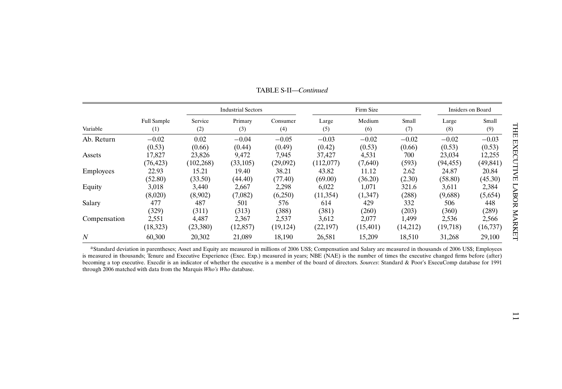<span id="page-10-0"></span>

|                |                    |            | <b>Industrial Sectors</b> |           |           | Firm Size | Insiders on Board |           |           |
|----------------|--------------------|------------|---------------------------|-----------|-----------|-----------|-------------------|-----------|-----------|
| Variable       | <b>Full Sample</b> | Service    | Primary                   | Consumer  | Large     | Medium    | Small             | Large     | Small     |
|                | (1)                | (2)        | (3)                       | (4)       | (5)       | (6)       | (7)               | (8)       | (9)       |
| Ab. Return     | $-0.02$            | 0.02       | $-0.04$                   | $-0.05$   | $-0.03$   | $-0.02$   | $-0.02$           | $-0.02$   | $-0.03$   |
|                | (0.53)             | (0.66)     | (0.44)                    | (0.49)    | (0.42)    | (0.53)    | (0.66)            | (0.53)    | (0.53)    |
| Assets         | 17,827             | 23,826     | 9,472                     | 7,945     | 37,427    | 4,531     | 700               | 23,034    | 12,255    |
|                | (76, 423)          | (102, 268) | (33,105)                  | (29,092)  | (112,077) | (7,640)   | (593)             | (94, 455) | (49, 841) |
| Employees      | 22.93              | 15.21      | 19.40                     | 38.21     | 43.82     | 11.12     | 2.62              | 24.87     | 20.84     |
|                | (52.80)            | (33.50)    | (44.40)                   | (77.40)   | (69.00)   | (36.20)   | (2.30)            | (58.80)   | (45.30)   |
| Equity         | 3,018              | 3,440      | 2,667                     | 2,298     | 6,022     | 1,071     | 321.6             | 3,611     | 2,384     |
|                | (8,020)            | (8,902)    | (7,082)                   | (6,250)   | (11, 354) | (1,347)   | (288)             | (9,688)   | (5,654)   |
| Salary         | 477                | 487        | 501                       | 576       | 614       | 429       | 332               | 506       | 448       |
|                | (329)              | (311)      | (313)                     | (388)     | (381)     | (260)     | (203)             | (360)     | (289)     |
| Compensation   | 2,551              | 4,487      | 2,367                     | 2,537     | 3,612     | 2,077     | 1,499             | 2,536     | 2,566     |
|                | (18, 323)          | (23,380)   | (12, 857)                 | (19, 124) | (22, 197) | (15,401)  | (14,212)          | (19,718)  | (16,737)  |
| $\overline{N}$ | 60,300             | 20,302     | 21,089                    | 18,190    | 26,581    | 15,209    | 18,510            | 31,268    | 29,100    |

TABLE S-II—*Continued*

<sup>a</sup>Standard deviation in parentheses; Asset and Equity are measured in millions of 2006 US\$; Compensation and Salary are measured in thousands of 2006 US\$; Employees is measured in thousands; Tenure and Executive Experience (Exec. Exp.) measured in years; NBE (NAE) is the number of times the executive changed firms before (after) becoming <sup>a</sup> top executive. Execdir is an indicator of whether the executive is <sup>a</sup> member of the board of directors. *Sources*: Standard & Poor's ExecuComp database for 1991 through 2006 matched with data from the Marquis *Who's Who* database.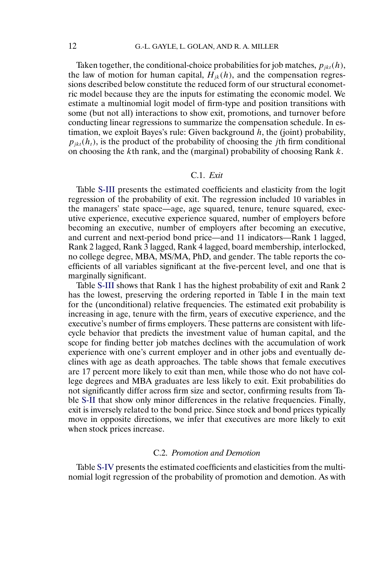Taken together, the conditional-choice probabilities for job matches,  $p_{ikt}(h)$ , the law of motion for human capital,  $H_{ik}(h)$ , and the compensation regressions described below constitute the reduced form of our structural econometric model because they are the inputs for estimating the economic model. We estimate a multinomial logit model of firm-type and position transitions with some (but not all) interactions to show exit, promotions, and turnover before conducting linear regressions to summarize the compensation schedule. In estimation, we exploit Bayes's rule: Given background  $h$ , the (joint) probability,  $p_{jkt}(h_t)$ , is the product of the probability of choosing the *j*th firm conditional on choosing the kth rank, and the (marginal) probability of choosing Rank  $k$ .

# C.1. *Exit*

Table [S-III](#page-12-0) presents the estimated coefficients and elasticity from the logit regression of the probability of exit. The regression included 10 variables in the managers' state space—age, age squared, tenure, tenure squared, executive experience, executive experience squared, number of employers before becoming an executive, number of employers after becoming an executive, and current and next-period bond price—and 11 indicators—Rank 1 lagged, Rank 2 lagged, Rank 3 lagged, Rank 4 lagged, board membership, interlocked, no college degree, MBA, MS/MA, PhD, and gender. The table reports the coefficients of all variables significant at the five-percent level, and one that is marginally significant.

Table [S-III](#page-12-0) shows that Rank 1 has the highest probability of exit and Rank 2 has the lowest, preserving the ordering reported in Table I in the main text for the (unconditional) relative frequencies. The estimated exit probability is increasing in age, tenure with the firm, years of executive experience, and the executive's number of firms employers. These patterns are consistent with lifecycle behavior that predicts the investment value of human capital, and the scope for finding better job matches declines with the accumulation of work experience with one's current employer and in other jobs and eventually declines with age as death approaches. The table shows that female executives are 17 percent more likely to exit than men, while those who do not have college degrees and MBA graduates are less likely to exit. Exit probabilities do not significantly differ across firm size and sector, confirming results from Table [S-II](#page-9-0) that show only minor differences in the relative frequencies. Finally, exit is inversely related to the bond price. Since stock and bond prices typically move in opposite directions, we infer that executives are more likely to exit when stock prices increase.

# C.2. *Promotion and Demotion*

Table [S-IV](#page-13-0) presents the estimated coefficients and elasticities from the multinomial logit regression of the probability of promotion and demotion. As with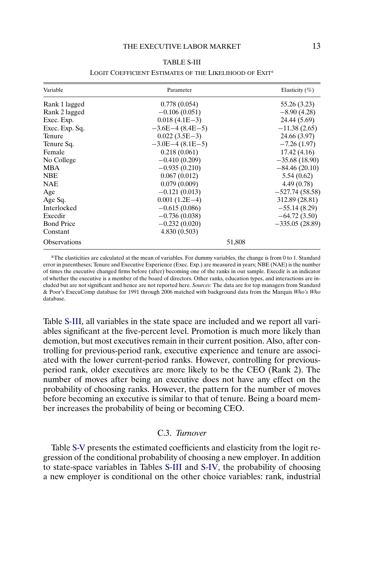<span id="page-12-0"></span>

| Variable            | Parameter         | Elasticity $(\% )$ |
|---------------------|-------------------|--------------------|
| Rank 1 lagged       | 0.778(0.054)      | 55.26 (3.23)       |
| Rank 2 lagged       | $-0.106(0.051)$   | $-8.90(4.28)$      |
| Exec. Exp.          | $0.018(4.1E-3)$   | 24.44 (5.69)       |
| Exec. Exp. Sq.      | $-3.6E-4(8.4E-5)$ | $-11.38(2.65)$     |
| <b>Tenure</b>       | $0.022(3.5E-3)$   | 24.66 (3.97)       |
| Tenure Sq.          | $-3.0E-4(8.1E-5)$ | $-7.26(1.97)$      |
| Female              | 0.218(0.061)      | 17.42(4.16)        |
| No College          | $-0.410(0.209)$   | $-35.68(18.90)$    |
| <b>MBA</b>          | $-0.935(0.210)$   | $-84.46(20.10)$    |
| <b>NBE</b>          | 0.067(0.012)      | 5.54(0.62)         |
| <b>NAE</b>          | 0.079(0.009)      | 4.49(0.78)         |
| Age                 | $-0.121(0.013)$   | $-527.74(58.58)$   |
| Age Sq.             | $0.001(1.2E-4)$   | 312.89 (28.81)     |
| Interlocked         | $-0.615(0.086)$   | $-55.14(8.29)$     |
| Execdir             | $-0.736(0.038)$   | $-64.72(3.50)$     |
| <b>Bond Price</b>   | $-0.232(0.020)$   | $-335.05(28.89)$   |
| Constant            | 4.830(0.503)      |                    |
| <b>Observations</b> | 51,808            |                    |

## TABLE S-III

#### LOGIT COEFFICIENT ESTIMATES OF THE LIKELIHOOD OF EXIT<sup>a</sup>

<sup>a</sup>The elasticities are calculated at the mean of variables. For dummy variables, the change is from 0 to 1. Standard error in parentheses; Tenure and Executive Experience (Exec. Exp.) are measured in years; NBE (NAE) is the number of times the executive changed firms before (after) becoming one of the ranks in our sample. Execdir is an indicator of whether the executive is a member of the board of directors. Other ranks, education types, and interactions are included but are not significant and hence are not reported here. *Sources*: The data are for top managers from Standard & Poor's ExecuComp database for 1991 through 2006 matched with background data from the Marquis *Who's Who* database.

Table S-III, all variables in the state space are included and we report all variables significant at the five-percent level. Promotion is much more likely than demotion, but most executives remain in their current position. Also, after controlling for previous-period rank, executive experience and tenure are associated with the lower current-period ranks. However, controlling for previousperiod rank, older executives are more likely to be the CEO (Rank 2). The number of moves after being an executive does not have any effect on the probability of choosing ranks. However, the pattern for the number of moves before becoming an executive is similar to that of tenure. Being a board member increases the probability of being or becoming CEO.

# C.3. *Turnover*

Table [S-V](#page-15-0) presents the estimated coefficients and elasticity from the logit regression of the conditional probability of choosing a new employer. In addition to state-space variables in Tables S-III and [S-IV,](#page-13-0) the probability of choosing a new employer is conditional on the other choice variables: rank, industrial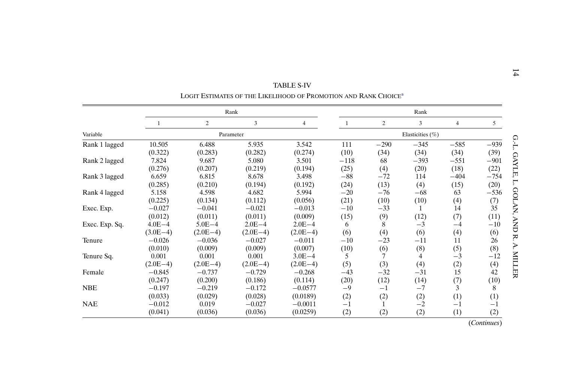<span id="page-13-0"></span>

|                |            |                |            | TABLE S-IV                                                                  |        |                |                  |                |             |
|----------------|------------|----------------|------------|-----------------------------------------------------------------------------|--------|----------------|------------------|----------------|-------------|
|                |            |                |            | LOGIT ESTIMATES OF THE LIKELIHOOD OF PROMOTION AND RANK CHOICE <sup>a</sup> |        |                |                  |                |             |
|                |            |                | Rank       |                                                                             |        |                | Rank             |                |             |
|                |            | $\overline{c}$ | 3          | 4                                                                           | 1      | $\overline{2}$ | 3                | $\overline{4}$ | $5^{\circ}$ |
| Variable       |            |                | Parameter  |                                                                             |        |                | Elasticities (%) |                |             |
| Rank 1 lagged  | 10.505     | 6.488          | 5.935      | 3.542                                                                       | 111    | $-290$         | $-345$           | $-585$         | $-939$      |
|                | (0.322)    | (0.283)        | (0.282)    | (0.274)                                                                     | (10)   | (34)           | (34)             | (34)           | (39)        |
| Rank 2 lagged  | 7.824      | 9.687          | 5.080      | 3.501                                                                       | $-118$ | 68             | $-393$           | $-551$         | $-901$      |
|                | (0.276)    | (0.207)        | (0.219)    | (0.194)                                                                     | (25)   | (4)            | (20)             | (18)           | (22)        |
| Rank 3 lagged  | 6.659      | 6.815          | 8.678      | 3.498                                                                       | $-88$  | $-72$          | 114              | $-404$         | $-754$      |
|                | (0.285)    | (0.210)        | (0.194)    | (0.192)                                                                     | (24)   | (13)           | (4)              | (15)           | (20)        |
| Rank 4 lagged  | 5.158      | 4.598          | 4.682      | 5.994                                                                       | $-20$  | $-76$          | $-68$            | 63             | $-536$      |
|                | (0.225)    | (0.134)        | (0.112)    | (0.056)                                                                     | (21)   | (10)           | (10)             | (4)            | (7)         |
| Exec. Exp.     | $-0.027$   | $-0.041$       | $-0.021$   | $-0.013$                                                                    | $-10$  | $-33$          |                  | 14             | 35          |
|                | (0.012)    | (0.011)        | (0.011)    | (0.009)                                                                     | (15)   | (9)            | (12)             | (7)            | (11)        |
| Exec. Exp. Sq. | $4.0E - 4$ | $5.0E - 4$     | $2.0E - 4$ | $2.0E - 4$                                                                  | 6      | 8              | $-3$             | -4             | $-10$       |
|                | $(3.0E-4)$ | $(2.0E-4)$     | $(2.0E-4)$ | $(2.0E-4)$                                                                  | (6)    | (4)            | (6)              | (4)            | (6)         |
| Tenure         | $-0.026$   | $-0.036$       | $-0.027$   | $-0.011$                                                                    | $-10$  | $-23$          | $-11$            | 11             | 26          |
|                | (0.010)    | (0.009)        | (0.009)    | (0.007)                                                                     | (10)   | (6)            | (8)              | (5)            | (8)         |
| Tenure Sq.     | 0.001      | 0.001          | 0.001      | $3.0E - 4$                                                                  | 5      |                | 4                | $-3$           | $-12$       |
|                | $(2.0E-4)$ | $(2.0E-4)$     | $(2.0E-4)$ | $(2.0E-4)$                                                                  | (5)    | (3)            | (4)              | (2)            | (4)         |
| Female         | $-0.845$   | $-0.737$       | $-0.729$   | $-0.268$                                                                    | $-43$  | $-32$          | $-31$            | 15             | 42          |
|                | (0.247)    | (0.200)        | (0.186)    | (0.114)                                                                     | (20)   | (12)           | (14)             | (7)            | (10)        |
| <b>NBE</b>     | $-0.197$   | $-0.219$       | $-0.172$   | $-0.0577$                                                                   | $-9$   | $^{-1}$        | $-7$             | 3              | 8           |
|                | (0.033)    | (0.029)        | (0.028)    | (0.0189)                                                                    | (2)    | (2)            | (2)              | (1)            | (1)         |
| <b>NAE</b>     | $-0.012$   | 0.019          | $-0.027$   | $-0.0011$                                                                   | $-1$   |                | $-2$             | $-1$           | $-1$        |
|                | (0.041)    | (0.036)        | (0.036)    | (0.0259)                                                                    | (2)    | (2)            | (2)              | (1)            | (2)         |

(*Continues*)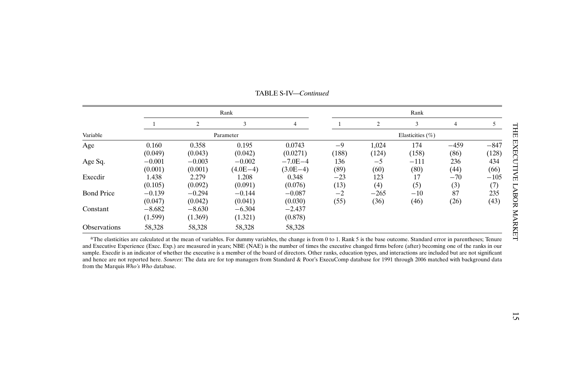<span id="page-14-0"></span>

|                     |                     |                     | Rank                   |                           | Rank                 |                |                |                |                 |  |  |
|---------------------|---------------------|---------------------|------------------------|---------------------------|----------------------|----------------|----------------|----------------|-----------------|--|--|
|                     |                     | $\overline{c}$      | 3                      | 4                         |                      | 2              | 3              | 4              | 5               |  |  |
| Variable            |                     |                     | Parameter              |                           | Elasticities $(\% )$ |                |                |                |                 |  |  |
| Age                 | 0.160<br>(0.049)    | 0.358<br>(0.043)    | 0.195<br>(0.042)       | 0.0743<br>(0.0271)        | $-9$<br>(188)        | 1,024<br>(124) | 174<br>(158)   | $-459$<br>(86) | $-847$<br>(128) |  |  |
| Age Sq.             | $-0.001$<br>(0.001) | $-0.003$<br>(0.001) | $-0.002$<br>$(4.0E-4)$ | $-7.0E - 4$<br>$(3.0E-4)$ | 136<br>(89)          | $-5$<br>(60)   | $-111$<br>(80) | 236<br>(44)    | 434<br>(66)     |  |  |
| Execdir             | 1.438<br>(0.105)    | 2.279<br>(0.092)    | 1.208<br>(0.091)       | 0.348<br>(0.076)          | $-23$<br>(13)        | 123<br>(4)     | 17<br>(5)      | $-70$<br>(3)   | $-105$<br>(7)   |  |  |
| <b>Bond Price</b>   | $-0.139$<br>(0.047) | $-0.294$<br>(0.042) | $-0.144$<br>(0.041)    | $-0.087$<br>(0.030)       | $-2$<br>(55)         | $-265$<br>(36) | $-10$<br>(46)  | 87<br>(26)     | 235<br>(43)     |  |  |
| Constant            | $-8.682$<br>(1.599) | $-8.630$<br>(1.369) | $-6.304$<br>(1.321)    | $-2.437$<br>(0.878)       |                      |                |                |                |                 |  |  |
| <b>Observations</b> | 58,328              | 58,328              | 58,328                 | 58,328                    |                      |                |                |                |                 |  |  |

TABLE S-IV—*Continued*

<sup>a</sup>The elasticities are calculated at the mean of variables. For dummy variables, the change is from 0 to 1. Rank 5 is the base outcome. Standard error in parentheses; Tenure and Executive Experience (Exec. Exp.) are measured in years; NBE (NAE) is the number of times the executive changed firms before (after) becoming one of the ranks in our sample. Execdir is an indicator of whether the executive is a member of the board of directors. Other ranks, education types, and interactions are included but are not significant and hence are not reported here. *Sources*: The data are for top managers from Standard & Poor's ExecuComp database for 1991 through 2006 matched with background data from the Marquis *Who's Who* database.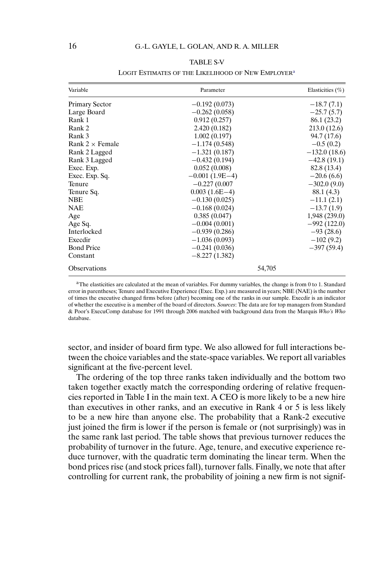### TABLE S-V

<span id="page-15-0"></span>

| Variable               | Parameter        | Elasticities $(\% )$ |
|------------------------|------------------|----------------------|
| <b>Primary Sector</b>  | $-0.192(0.073)$  | $-18.7(7.1)$         |
| Large Board            | $-0.262(0.058)$  | $-25.7(5.7)$         |
| Rank 1                 | 0.912(0.257)     | 86.1 (23.2)          |
| Rank 2                 | 2.420(0.182)     | 213.0(12.6)          |
| Rank 3                 | 1.002(0.197)     | 94.7 (17.6)          |
| Rank $2 \times$ Female | $-1.174(0.548)$  | $-0.5(0.2)$          |
| Rank 2 Lagged          | $-1.321(0.187)$  | $-132.0(18.6)$       |
| Rank 3 Lagged          | $-0.432(0.194)$  | $-42.8(19.1)$        |
| Exec. Exp.             | 0.052(0.008)     | 82.8 (13.4)          |
| Exec. Exp. Sq.         | $-0.001(1.9E-4)$ | $-20.6(6.6)$         |
| Tenure                 | $-0.227(0.007)$  | $-302.0(9.0)$        |
| Tenure Sq.             | $0.003(1.6E-4)$  | 88.1 (4.3)           |
| <b>NBE</b>             | $-0.130(0.025)$  | $-11.1(2.1)$         |
| NAE                    | $-0.168(0.024)$  | $-13.7(1.9)$         |
| Age                    | 0.385(0.047)     | 1,948(239.0)         |
| Age Sq.                | $-0.004(0.001)$  | $-992(122.0)$        |
| Interlocked            | $-0.939(0.286)$  | $-93(28.6)$          |
| Execdir                | $-1.036(0.093)$  | $-102(9.2)$          |
| <b>Bond Price</b>      | $-0.241(0.036)$  | $-397(59.4)$         |
| Constant               | $-8.227(1.382)$  |                      |
| <b>Observations</b>    | 54,705           |                      |

#### LOGIT ESTIMATES OF THE LIKELIHOOD OF NEW EMPLOYER<sup>a</sup>

<sup>a</sup>The elasticities are calculated at the mean of variables. For dummy variables, the change is from 0 to 1. Standard error in parentheses; Tenure and Executive Experience (Exec. Exp.) are measured in years; NBE (NAE) is the number of times the executive changed firms before (after) becoming one of the ranks in our sample. Execdir is an indicator of whether the executive is a member of the board of directors. *Sources*: The data are for top managers from Standard & Poor's ExecuComp database for 1991 through 2006 matched with background data from the Marquis *Who's Who* database.

sector, and insider of board firm type. We also allowed for full interactions between the choice variables and the state-space variables. We report all variables significant at the five-percent level.

The ordering of the top three ranks taken individually and the bottom two taken together exactly match the corresponding ordering of relative frequencies reported in Table I in the main text. A CEO is more likely to be a new hire than executives in other ranks, and an executive in Rank 4 or 5 is less likely to be a new hire than anyone else. The probability that a Rank-2 executive just joined the firm is lower if the person is female or (not surprisingly) was in the same rank last period. The table shows that previous turnover reduces the probability of turnover in the future. Age, tenure, and executive experience reduce turnover, with the quadratic term dominating the linear term. When the bond prices rise (and stock prices fall), turnover falls. Finally, we note that after controlling for current rank, the probability of joining a new firm is not signif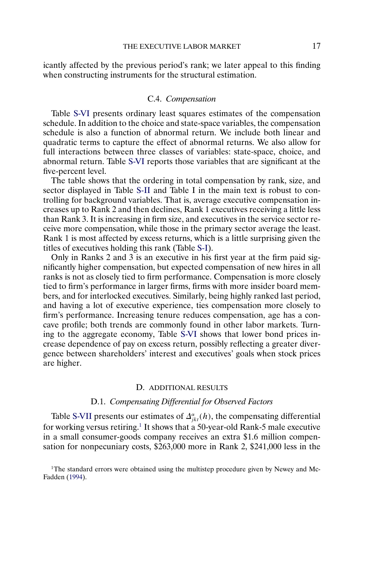<span id="page-16-0"></span>icantly affected by the previous period's rank; we later appeal to this finding when constructing instruments for the structural estimation.

## C.4. *Compensation*

Table [S-VI](#page-17-0) presents ordinary least squares estimates of the compensation schedule. In addition to the choice and state-space variables, the compensation schedule is also a function of abnormal return. We include both linear and quadratic terms to capture the effect of abnormal returns. We also allow for full interactions between three classes of variables: state-space, choice, and abnormal return. Table [S-VI](#page-17-0) reports those variables that are significant at the five-percent level.

The table shows that the ordering in total compensation by rank, size, and sector displayed in Table [S-II](#page-9-0) and Table I in the main text is robust to controlling for background variables. That is, average executive compensation increases up to Rank 2 and then declines, Rank 1 executives receiving a little less than Rank 3. It is increasing in firm size, and executives in the service sector receive more compensation, while those in the primary sector average the least. Rank 1 is most affected by excess returns, which is a little surprising given the titles of executives holding this rank (Table [S-I\)](#page-5-0).

Only in Ranks 2 and 3 is an executive in his first year at the firm paid significantly higher compensation, but expected compensation of new hires in all ranks is not as closely tied to firm performance. Compensation is more closely tied to firm's performance in larger firms, firms with more insider board members, and for interlocked executives. Similarly, being highly ranked last period, and having a lot of executive experience, ties compensation more closely to firm's performance. Increasing tenure reduces compensation, age has a concave profile; both trends are commonly found in other labor markets. Turning to the aggregate economy, Table [S-VI](#page-17-0) shows that lower bond prices increase dependence of pay on excess return, possibly reflecting a greater divergence between shareholders' interest and executives' goals when stock prices are higher.

### D. ADDITIONAL RESULTS

## D.1. *Compensating Differential for Observed Factors*

Table [S-VII](#page-18-0) presents our estimates of  $\Delta_{jkt}^{\alpha}(h)$ , the compensating differential for working versus retiring.<sup>1</sup> It shows that a 50-year-old Rank-5 male executive in a small consumer-goods company receives an extra \$1.6 million compensation for nonpecuniary costs, \$263,000 more in Rank 2, \$241,000 less in the

<sup>1</sup>The standard errors were obtained using the multistep procedure given by Newey and Mc-Fadden [\(1994\)](#page-24-0).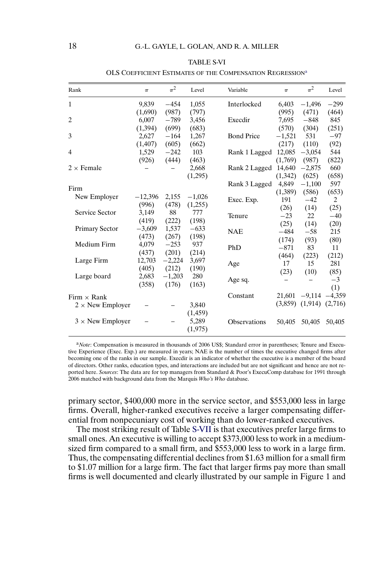<span id="page-17-0"></span>

| Rank                    | $\pi$     | $\pi^2$  | Level    | Variable            | $\pi$    | $\pi^2$  | Level    |
|-------------------------|-----------|----------|----------|---------------------|----------|----------|----------|
| 1                       | 9,839     | $-454$   | 1,055    | Interlocked         | 6,403    | $-1,496$ | $-299$   |
|                         | (1,690)   | (987)    | (797)    |                     | (995)    | (471)    | (464)    |
| 2                       | 6,007     | $-789$   | 3,456    | Execdir             | 7,695    | $-848$   | 845      |
|                         | (1, 394)  | (699)    | (683)    |                     | (570)    | (304)    | (251)    |
| 3                       | 2,627     | $-164$   | 1,267    | <b>Bond Price</b>   | $-1,521$ | 531      | $-97$    |
|                         | (1, 407)  | (605)    | (662)    |                     | (217)    | (110)    | (92)     |
| 4                       | 1,529     | $-242$   | 103      | Rank 1 Lagged       | 12,085   | $-3,054$ | 544      |
|                         | (926)     | (444)    | (463)    |                     | (1,769)  | (987)    | (822)    |
| $2 \times$ Female       |           |          | 2,668    | Rank 2 Lagged       | 14,640   | $-2,875$ | 660      |
|                         |           |          | (1,295)  |                     | (1,342)  | (625)    | (658)    |
|                         |           |          |          | Rank 3 Lagged       | 4,849    | $-1,100$ | 597      |
| Firm                    |           |          |          |                     | (1,389)  | (586)    | (653)    |
| New Employer            | $-12,396$ | 2,155    | $-1,026$ | Exec. Exp.          | 191      | $-42$    | 2        |
|                         | (996)     | (478)    | (1,255)  |                     | (26)     | (14)     | (25)     |
| Service Sector          | 3,149     | 88       | 777      | Tenure              | $-23$    | 22       | $-40$    |
|                         | (419)     | (222)    | (198)    |                     | (25)     | (14)     | (20)     |
| <b>Primary Sector</b>   | $-3,609$  | 1,537    | $-633$   | <b>NAE</b>          | $-484$   | $-58$    | 215      |
|                         | (473)     | (267)    | (198)    |                     | (174)    | (93)     | (80)     |
| Medium Firm             | 4,079     | $-253$   | 937      | PhD                 | $-871$   | 83       | 11       |
|                         | (437)     | (201)    | (214)    |                     | (464)    | (223)    | (212)    |
| Large Firm              | 12,703    | $-2,224$ | 3,697    | Age                 | 17       | 15       | 281      |
|                         | (405)     | (212)    | (190)    |                     | (23)     | (10)     | (85)     |
| Large board             | 2,683     | $-1,203$ | 280      | Age sq.             |          |          | $-3$     |
|                         | (358)     | (176)    | (163)    |                     |          |          | (1)      |
| Firm $\times$ Rank      |           |          |          | Constant            | 21,601   | $-9,114$ | $-4,359$ |
| $2 \times$ New Employer |           |          | 3,840    |                     | (3,859)  | (1,914)  | (2,716)  |
|                         |           |          | (1,459)  |                     |          |          |          |
| $3 \times$ New Employer |           |          | 5,289    |                     |          |          |          |
|                         |           |          |          | <b>Observations</b> | 50,405   | 50,405   | 50,405   |
|                         |           |          | (1, 975) |                     |          |          |          |

#### TABLE S-VI

OLS COEFFICIENT ESTIMATES OF THE COMPENSATION REGRESSION<sup>a</sup>

<sup>a</sup>*Note*: Compensation is measured in thousands of 2006 US\$; Standard error in parentheses; Tenure and Executive Experience (Exec. Exp.) are measured in years; NAE is the number of times the executive changed firms after becoming one of the ranks in our sample. Execdir is an indicator of whether the executive is a member of the board of directors. Other ranks, education types, and interactions are included but are not significant and hence are not reported here. *Sources*: The data are for top managers from Standard & Poor's ExecuComp database for 1991 through 2006 matched with background data from the Marquis *Who's Who* database.

primary sector, \$400,000 more in the service sector, and \$553,000 less in large firms. Overall, higher-ranked executives receive a larger compensating differential from nonpecuniary cost of working than do lower-ranked executives.

The most striking result of Table [S-VII](#page-18-0) is that executives prefer large firms to small ones. An executive is willing to accept \$373,000 less to work in a mediumsized firm compared to a small firm, and \$553,000 less to work in a large firm. Thus, the compensating differential declines from \$1.63 million for a small firm to \$1.07 million for a large firm. The fact that larger firms pay more than small firms is well documented and clearly illustrated by our sample in Figure 1 and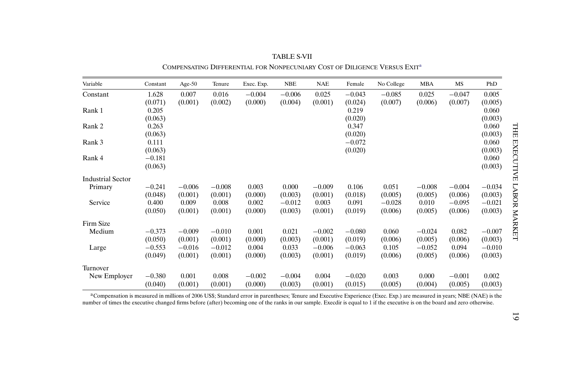<span id="page-18-0"></span>

| Variable          | Constant | Age- $50$ | Tenure   | Exec. Exp. | <b>NBE</b> | <b>NAE</b> | Female   | No College | <b>MBA</b> | MS       | PhD      |
|-------------------|----------|-----------|----------|------------|------------|------------|----------|------------|------------|----------|----------|
| Constant          | 1.628    | 0.007     | 0.016    | $-0.004$   | $-0.006$   | 0.025      | $-0.043$ | $-0.085$   | 0.025      | $-0.047$ | 0.005    |
|                   | (0.071)  | (0.001)   | (0.002)  | (0.000)    | (0.004)    | (0.001)    | (0.024)  | (0.007)    | (0.006)    | (0.007)  | (0.005)  |
| Rank 1            | 0.205    |           |          |            |            |            | 0.219    |            |            |          | 0.060    |
|                   | (0.063)  |           |          |            |            |            | (0.020)  |            |            |          | (0.003)  |
| Rank 2            | 0.263    |           |          |            |            |            | 0.347    |            |            |          | 0.060    |
|                   | (0.063)  |           |          |            |            |            | (0.020)  |            |            |          | (0.003)  |
| Rank 3            | 0.111    |           |          |            |            |            | $-0.072$ |            |            |          | 0.060    |
|                   | (0.063)  |           |          |            |            |            | (0.020)  |            |            |          | (0.003)  |
| Rank 4            | $-0.181$ |           |          |            |            |            |          |            |            |          | 0.060    |
|                   | (0.063)  |           |          |            |            |            |          |            |            |          | (0.003)  |
| Industrial Sector |          |           |          |            |            |            |          |            |            |          |          |
| Primary           | $-0.241$ | $-0.006$  | $-0.008$ | 0.003      | 0.000      | $-0.009$   | 0.106    | 0.051      | $-0.008$   | $-0.004$ | $-0.034$ |
|                   | (0.048)  | (0.001)   | (0.001)  | (0.000)    | (0.003)    | (0.001)    | (0.018)  | (0.005)    | (0.005)    | (0.006)  | (0.003)  |
| Service           | 0.400    | 0.009     | 0.008    | 0.002      | $-0.012$   | 0.003      | 0.091    | $-0.028$   | 0.010      | $-0.095$ | $-0.021$ |
|                   | (0.050)  | (0.001)   | (0.001)  | (0.000)    | (0.003)    | (0.001)    | (0.019)  | (0.006)    | (0.005)    | (0.006)  | (0.003)  |
| Firm Size         |          |           |          |            |            |            |          |            |            |          |          |
| Medium            | $-0.373$ | $-0.009$  | $-0.010$ | 0.001      | 0.021      | $-0.002$   | $-0.080$ | 0.060      | $-0.024$   | 0.082    | $-0.007$ |
|                   | (0.050)  | (0.001)   | (0.001)  | (0.000)    | (0.003)    | (0.001)    | (0.019)  | (0.006)    | (0.005)    | (0.006)  | (0.003)  |
| Large             | $-0.553$ | $-0.016$  | $-0.012$ | 0.004      | 0.033      | $-0.006$   | $-0.063$ | 0.105      | $-0.052$   | 0.094    | $-0.010$ |
|                   | (0.049)  | (0.001)   | (0.001)  | (0.000)    | (0.003)    | (0.001)    | (0.019)  | (0.006)    | (0.005)    | (0.006)  | (0.003)  |
| Turnover          |          |           |          |            |            |            |          |            |            |          |          |
| New Employer      | $-0.380$ | 0.001     | 0.008    | $-0.002$   | $-0.004$   | 0.004      | $-0.020$ | 0.003      | 0.000      | $-0.001$ | 0.002    |
|                   | (0.040)  | (0.001)   | (0.001)  | (0.000)    | (0.003)    | (0.001)    | (0.015)  | (0.005)    | (0.004)    | (0.005)  | (0.003)  |

TABLE S-VIICOMPENSATING DIFFERENTIAL FOR NONPECUNIARY COST OF DILIGENCE VERSUS EXITa

aCompensation is measured in millions of 2006 US\$; Standard error in parentheses; Tenure and Executive Experience (Exec. Exp.) are measured in years; NBE (NAE) is the number of times the executive changed firms before (after) becoming one of the ranks in our sample. Execdir is equal to 1 if the executive is on the board and zero otherwise.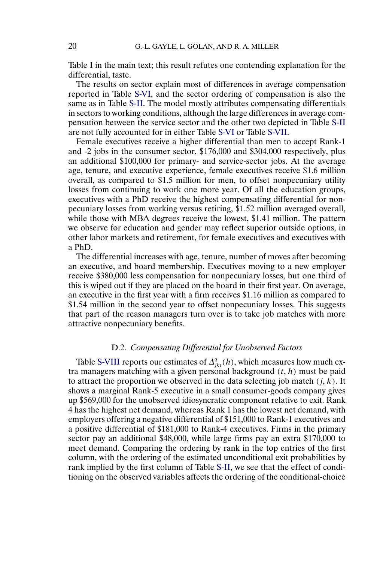Table I in the main text; this result refutes one contending explanation for the differential, taste.

The results on sector explain most of differences in average compensation reported in Table [S-VI,](#page-17-0) and the sector ordering of compensation is also the same as in Table [S-II.](#page-9-0) The model mostly attributes compensating differentials in sectors to working conditions, although the large differences in average compensation between the service sector and the other two depicted in Table [S-II](#page-9-0) are not fully accounted for in either Table [S-VI](#page-17-0) or Table [S-VII.](#page-18-0)

Female executives receive a higher differential than men to accept Rank-1 and -2 jobs in the consumer sector, \$176,000 and \$304,000 respectively, plus an additional \$100,000 for primary- and service-sector jobs. At the average age, tenure, and executive experience, female executives receive \$1.6 million overall, as compared to \$1.5 million for men, to offset nonpecuniary utility losses from continuing to work one more year. Of all the education groups, executives with a PhD receive the highest compensating differential for nonpecuniary losses from working versus retiring, \$1.52 million averaged overall, while those with MBA degrees receive the lowest, \$1.41 million. The pattern we observe for education and gender may reflect superior outside options, in other labor markets and retirement, for female executives and executives with a PhD.

The differential increases with age, tenure, number of moves after becoming an executive, and board membership. Executives moving to a new employer receive \$380,000 less compensation for nonpecuniary losses, but one third of this is wiped out if they are placed on the board in their first year. On average, an executive in the first year with a firm receives \$1.16 million as compared to \$1.54 million in the second year to offset nonpecuniary losses. This suggests that part of the reason managers turn over is to take job matches with more attractive nonpecuniary benefits.

# D.2. *Compensating Differential for Unobserved Factors*

Table [S-VIII](#page-21-0) reports our estimates of  $\Delta_{jkt}^q(h)$ , which measures how much extra managers matching with a given personal background  $(t, h)$  must be paid to attract the proportion we observed in the data selecting job match  $(j, k)$ . It shows a marginal Rank-5 executive in a small consumer-goods company gives up \$569,000 for the unobserved idiosyncratic component relative to exit. Rank 4 has the highest net demand, whereas Rank 1 has the lowest net demand, with employers offering a negative differential of \$151,000 to Rank-1 executives and a positive differential of \$181,000 to Rank-4 executives. Firms in the primary sector pay an additional \$48,000, while large firms pay an extra \$170,000 to meet demand. Comparing the ordering by rank in the top entries of the first column, with the ordering of the estimated unconditional exit probabilities by rank implied by the first column of Table [S-II,](#page-9-0) we see that the effect of conditioning on the observed variables affects the ordering of the conditional-choice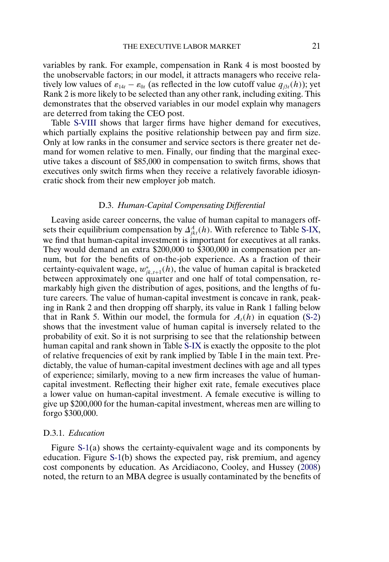<span id="page-20-0"></span>variables by rank. For example, compensation in Rank 4 is most boosted by the unobservable factors; in our model, it attracts managers who receive relatively low values of  $\varepsilon_{14t} - \varepsilon_{0t}$  (as reflected in the low cutoff value  $q_{j3t}(h)$ ); yet Rank 2 is more likely to be selected than any other rank, including exiting. This demonstrates that the observed variables in our model explain why managers are deterred from taking the CEO post.

Table [S-VIII](#page-21-0) shows that larger firms have higher demand for executives, which partially explains the positive relationship between pay and firm size. Only at low ranks in the consumer and service sectors is there greater net demand for women relative to men. Finally, our finding that the marginal executive takes a discount of \$85,000 in compensation to switch firms, shows that executives only switch firms when they receive a relatively favorable idiosyncratic shock from their new employer job match.

# D.3. *Human-Capital Compensating Differential*

Leaving aside career concerns, the value of human capital to managers offsets their equilibrium compensation by  $\Delta_{jkt}^A(h)$ . With reference to Table [S-IX,](#page-22-0) we find that human-capital investment is important for executives at all ranks. They would demand an extra \$200,000 to \$300,000 in compensation per annum, but for the benefits of on-the-job experience. As a fraction of their certainty-equivalent wage,  $w_{jk,t+1}^*(h)$ , the value of human capital is bracketed between approximately one quarter and one half of total compensation, remarkably high given the distribution of ages, positions, and the lengths of future careers. The value of human-capital investment is concave in rank, peaking in Rank 2 and then dropping off sharply, its value in Rank 1 falling below that in Rank 5. Within our model, the formula for  $A<sub>t</sub>(h)$  in equation [\(S-2\)](#page-0-0) shows that the investment value of human capital is inversely related to the probability of exit. So it is not surprising to see that the relationship between human capital and rank shown in Table [S-IX](#page-22-0) is exactly the opposite to the plot of relative frequencies of exit by rank implied by Table I in the main text. Predictably, the value of human-capital investment declines with age and all types of experience; similarly, moving to a new firm increases the value of humancapital investment. Reflecting their higher exit rate, female executives place a lower value on human-capital investment. A female executive is willing to give up \$200,000 for the human-capital investment, whereas men are willing to forgo \$300,000.

## D.3.1. *Education*

Figure [S-1\(](#page-23-0)a) shows the certainty-equivalent wage and its components by education. Figure [S-1\(](#page-23-0)b) shows the expected pay, risk premium, and agency cost components by education. As Arcidiacono, Cooley, and Hussey [\(2008\)](#page-24-0) noted, the return to an MBA degree is usually contaminated by the benefits of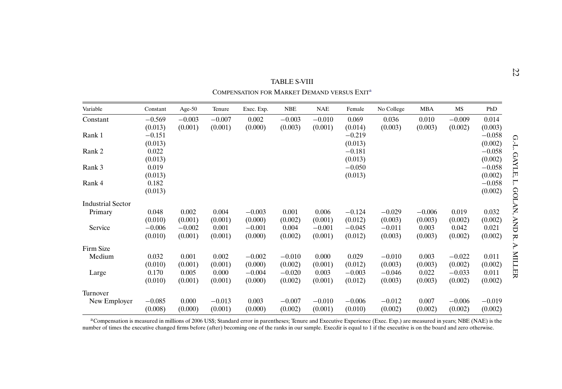<span id="page-21-0"></span>

|                          | TABLE S-VIII<br>COMPENSATION FOR MARKET DEMAND VERSUS EXIT <sup>a</sup> |           |          |            |            |            |          |            |            |          |          |             |  |  |
|--------------------------|-------------------------------------------------------------------------|-----------|----------|------------|------------|------------|----------|------------|------------|----------|----------|-------------|--|--|
| Variable                 | Constant                                                                | Age- $50$ | Tenure   | Exec. Exp. | <b>NBE</b> | <b>NAE</b> | Female   | No College | <b>MBA</b> | MS       | PhD      |             |  |  |
| Constant                 | $-0.569$                                                                | $-0.003$  | $-0.007$ | 0.002      | $-0.003$   | $-0.010$   | 0.069    | 0.036      | 0.010      | $-0.009$ | 0.014    |             |  |  |
|                          | (0.013)                                                                 | (0.001)   | (0.001)  | (0.000)    | (0.003)    | (0.001)    | (0.014)  | (0.003)    | (0.003)    | (0.002)  | (0.003)  |             |  |  |
| Rank 1                   | $-0.151$                                                                |           |          |            |            |            | $-0.219$ |            |            |          | $-0.058$ |             |  |  |
|                          | (0.013)                                                                 |           |          |            |            |            | (0.013)  |            |            |          | (0.002)  | $G - L$     |  |  |
| Rank 2                   | 0.022                                                                   |           |          |            |            |            | $-0.181$ |            |            |          | $-0.058$ |             |  |  |
|                          | (0.013)                                                                 |           |          |            |            |            | (0.013)  |            |            |          | (0.002)  | <b>GAYL</b> |  |  |
| Rank 3                   | 0.019                                                                   |           |          |            |            |            | $-0.050$ |            |            |          | $-0.058$ |             |  |  |
|                          | (0.013)                                                                 |           |          |            |            |            | (0.013)  |            |            |          | (0.002)  | Ę,          |  |  |
| Rank 4                   | 0.182                                                                   |           |          |            |            |            |          |            |            |          | $-0.058$ | Ļ.          |  |  |
|                          | (0.013)                                                                 |           |          |            |            |            |          |            |            |          | (0.002)  | 8           |  |  |
| <b>Industrial Sector</b> |                                                                         |           |          |            |            |            |          |            |            |          |          | ĽАN,        |  |  |
| Primary                  | 0.048                                                                   | 0.002     | 0.004    | $-0.003$   | 0.001      | 0.006      | $-0.124$ | $-0.029$   | $-0.006$   | 0.019    | 0.032    |             |  |  |
|                          | (0.010)                                                                 | (0.001)   | (0.001)  | (0.000)    | (0.002)    | (0.001)    | (0.012)  | (0.003)    | (0.003)    | (0.002)  | (0.002)  |             |  |  |
| Service                  | $-0.006$                                                                | $-0.002$  | 0.001    | $-0.001$   | 0.004      | $-0.001$   | $-0.045$ | $-0.011$   | 0.003      | 0.042    | 0.021    | <b>AND</b>  |  |  |
|                          | (0.010)                                                                 | (0.001)   | (0.001)  | (0.000)    | (0.002)    | (0.001)    | (0.012)  | (0.003)    | (0.003)    | (0.002)  | (0.002)  | R.          |  |  |
| Firm Size                |                                                                         |           |          |            |            |            |          |            |            |          |          | P.          |  |  |
| Medium                   | 0.032                                                                   | 0.001     | 0.002    | $-0.002$   | $-0.010$   | 0.000      | 0.029    | $-0.010$   | 0.003      | $-0.022$ | 0.011    |             |  |  |
|                          | (0.010)                                                                 | (0.001)   | (0.001)  | (0.000)    | (0.002)    | (0.001)    | (0.012)  | (0.003)    | (0.003)    | (0.002)  | (0.002)  | TTIM        |  |  |
| Large                    | 0.170                                                                   | 0.005     | 0.000    | $-0.004$   | $-0.020$   | 0.003      | $-0.003$ | $-0.046$   | 0.022      | $-0.033$ | 0.011    | EК          |  |  |
|                          | (0.010)                                                                 | (0.001)   | (0.001)  | (0.000)    | (0.002)    | (0.001)    | (0.012)  | (0.003)    | (0.003)    | (0.002)  | (0.002)  |             |  |  |
| Turnover                 |                                                                         |           |          |            |            |            |          |            |            |          |          |             |  |  |
| New Employer             | $-0.085$                                                                | 0.000     | $-0.013$ | 0.003      | $-0.007$   | $-0.010$   | $-0.006$ | $-0.012$   | 0.007      | $-0.006$ | $-0.019$ |             |  |  |
|                          | (0.008)                                                                 | (0.000)   | (0.001)  | (0.000)    | (0.002)    | (0.001)    | (0.010)  | (0.002)    | (0.002)    | (0.002)  | (0.002)  |             |  |  |

aCompensation is measured in millions of 2006 US\$; Standard error in parentheses; Tenure and Executive Experience (Exec. Exp.) are measured in years; NBE (NAE) is the number of times the executive changed firms before (after) becoming one of the ranks in our sample. Execdir is equal to 1 if the executive is on the board and zero otherwise.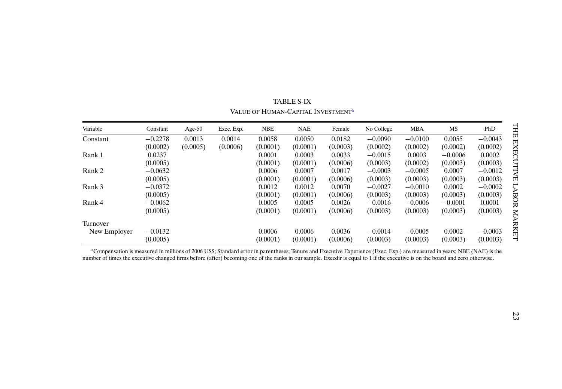<span id="page-22-0"></span>

| Variable     | Constant  | Age- $50$ | Exec. Exp. | <b>NBE</b> | <b>NAE</b> | Female   | No College | <b>MBA</b> | MS        | PhD       |
|--------------|-----------|-----------|------------|------------|------------|----------|------------|------------|-----------|-----------|
| Constant     | $-0.2278$ | 0.0013    | 0.0014     | 0.0058     | 0.0050     | 0.0182   | $-0.0090$  | $-0.0100$  | 0.0055    | $-0.0043$ |
|              | (0.0002)  | (0.0005)  | (0.0006)   | (0.0001)   | (0.0001)   | (0.0003) | (0.0002)   | (0.0002)   | (0.0002)  | (0.0002)  |
| Rank 1       | 0.0237    |           |            | 0.0001     | 0.0003     | 0.0033   | $-0.0015$  | 0.0003     | $-0.0006$ | 0.0002    |
|              | (0.0005)  |           |            | (0.0001)   | (0.0001)   | (0.0006) | (0.0003)   | (0.0002)   | (0.0003)  | (0.0003)  |
| Rank 2       | $-0.0632$ |           |            | 0.0006     | 0.0007     | 0.0017   | $-0.0003$  | $-0.0005$  | 0.0007    | $-0.0012$ |
|              | (0.0005)  |           |            | (0.0001)   | (0.0001)   | (0.0006) | (0.0003)   | (0.0003)   | (0.0003)  | (0.0003)  |
| Rank 3       | $-0.0372$ |           |            | 0.0012     | 0.0012     | 0.0070   | $-0.0027$  | $-0.0010$  | 0.0002    | $-0.0002$ |
|              | (0.0005)  |           |            | (0.0001)   | (0.0001)   | (0.0006) | (0.0003)   | (0.0003)   | (0.0003)  | (0.0003)  |
| Rank 4       | $-0.0062$ |           |            | 0.0005     | 0.0005     | 0.0026   | $-0.0016$  | $-0.0006$  | $-0.0001$ | 0.0001    |
|              | (0.0005)  |           |            | (0.0001)   | (0.0001)   | (0.0006) | (0.0003)   | (0.0003)   | (0.0003)  | (0.0003)  |
| Turnover     |           |           |            |            |            |          |            |            |           |           |
| New Employer | $-0.0132$ |           |            | 0.0006     | 0.0006     | 0.0036   | $-0.0014$  | $-0.0005$  | 0.0002    | $-0.0003$ |
|              | (0.0005)  |           |            | (0.0001)   | (0.0001)   | (0.0006) | (0.0003)   | (0.0003)   | (0.0003)  | (0.0003)  |

TABLE S-IXVALUE OF HUMAN-CAPITAL INVESTMENT<sup>a</sup>

aCompensation is measured in millions of 2006 US\$; Standard error in parentheses; Tenure and Executive Experience (Exec. Exp.) are measured in years; NBE (NAE) is the number of times the executive changed firms before (after) becoming one of the ranks in our sample. Execdir is equal to 1 if the executive is on the board and zero otherwise.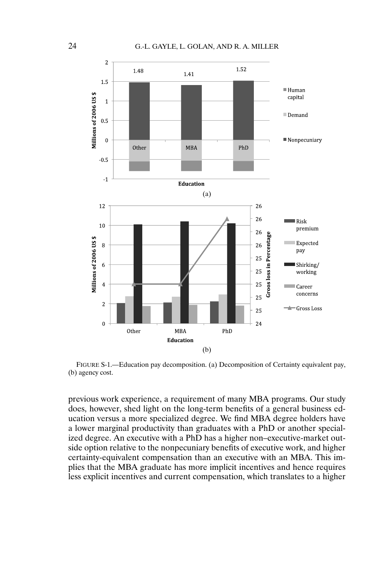<span id="page-23-0"></span>

FIGURE S-1.—Education pay decomposition. (a) Decomposition of Certainty equivalent pay, (b) agency cost.

previous work experience, a requirement of many MBA programs. Our study does, however, shed light on the long-term benefits of a general business education versus a more specialized degree. We find MBA degree holders have a lower marginal productivity than graduates with a PhD or another specialized degree. An executive with a PhD has a higher non–executive-market outside option relative to the nonpecuniary benefits of executive work, and higher certainty-equivalent compensation than an executive with an MBA. This implies that the MBA graduate has more implicit incentives and hence requires less explicit incentives and current compensation, which translates to a higher